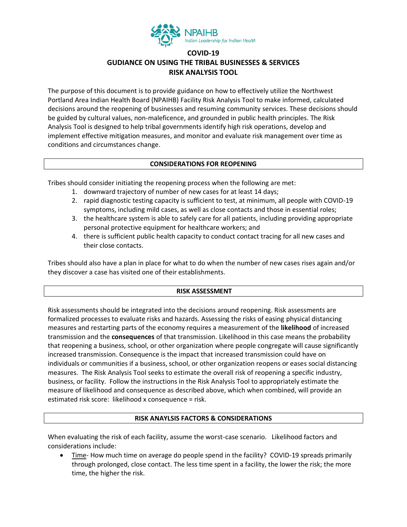

# **COVID-19 GUDIANCE ON USING THE TRIBAL BUSINESSES & SERVICES RISK ANALYSIS TOOL**

The purpose of this document is to provide guidance on how to effectively utilize the Northwest Portland Area Indian Health Board (NPAIHB) Facility Risk Analysis Tool to make informed, calculated decisions around the reopening of businesses and resuming community services. These decisions should be guided by cultural values, non-maleficence, and grounded in public health principles. The Risk Analysis Tool is designed to help tribal governments identify high risk operations, develop and implement effective mitigation measures, and monitor and evaluate risk management over time as conditions and circumstances change.

### **CONSIDERATIONS FOR REOPENING**

Tribes should consider initiating the reopening process when the following are met:

- 1. downward trajectory of number of new cases for at least 14 days;
- 2. rapid diagnostic testing capacity is sufficient to test, at minimum, all people with COVID-19 symptoms, including mild cases, as well as close contacts and those in essential roles;
- 3. the healthcare system is able to safely care for all patients, including providing appropriate personal protective equipment for healthcare workers; and
- 4. there is sufficient public health capacity to conduct contact tracing for all new cases and their close contacts.

Tribes should also have a plan in place for what to do when the number of new cases rises again and/or they discover a case has visited one of their establishments.

## **RISK ASSESSMENT**

Risk assessments should be integrated into the decisions around reopening. Risk assessments are formalized processes to evaluate risks and hazards. Assessing the risks of easing physical distancing measures and restarting parts of the economy requires a measurement of the **likelihood** of increased transmission and the **consequences** of that transmission. Likelihood in this case means the probability that reopening a business, school, or other organization where people congregate will cause significantly increased transmission. Consequence is the impact that increased transmission could have on individuals or communities if a business, school, or other organization reopens or eases social distancing measures. The Risk Analysis Tool seeks to estimate the overall risk of reopening a specific industry, business, or facility. Follow the instructions in the Risk Analysis Tool to appropriately estimate the measure of likelihood and consequence as described above, which when combined, will provide an estimated risk score: likelihood x consequence = risk.

### **RISK ANAYLSIS FACTORS & CONSIDERATIONS**

When evaluating the risk of each facility, assume the worst-case scenario. Likelihood factors and considerations include:

• Time- How much time on average do people spend in the facility? COVID-19 spreads primarily through prolonged, close contact. The less time spent in a facility, the lower the risk; the more time, the higher the risk.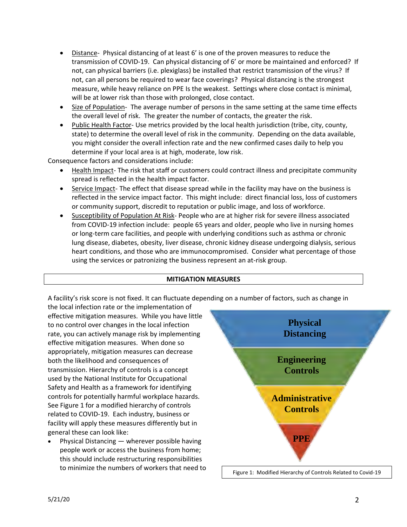- Distance- Physical distancing of at least 6' is one of the proven measures to reduce the transmission of COVID-19. Can physical distancing of 6' or more be maintained and enforced? If not, can physical barriers (i.e. plexiglass) be installed that restrict transmission of the virus? If not, can all persons be required to wear face coverings? Physical distancing is the strongest measure, while heavy reliance on PPE Is the weakest. Settings where close contact is minimal, will be at lower risk than those with prolonged, close contact.
- Size of Population- The average number of persons in the same setting at the same time effects the overall level of risk. The greater the number of contacts, the greater the risk.
- Public Health Factor- Use metrics provided by the local health jurisdiction (tribe, city, county, state) to determine the overall level of risk in the community. Depending on the data available, you might consider the overall infection rate and the new confirmed cases daily to help you determine if your local area is at high, moderate, low risk.

Consequence factors and considerations include:

- Health Impact- The risk that staff or customers could contract illness and precipitate community spread is reflected in the health impact factor.
- Service Impact- The effect that disease spread while in the facility may have on the business is reflected in the service impact factor. This might include: direct financial loss, loss of customers or community support, discredit to reputation or public image, and loss of workforce.
- Susceptibility of Population At Risk- People who are at higher risk for severe illness associated from COVID-19 infection include: people 65 years and older, people who live in nursing homes or long-term care facilities, and people with underlying conditions such as asthma or chronic lung disease, diabetes, obesity, liver disease, chronic kidney disease undergoing dialysis, serious heart conditions, and those who are immunocompromised. Consider what percentage of those using the services or patronizing the business represent an at-risk group.

### **MITIGATION MEASURES**

A facility's risk score is not fixed. It can fluctuate depending on a number of factors, such as change in

the local infection rate or the implementation of effective mitigation measures. While you have little to no control over changes in the local infection rate, you can actively manage risk by implementing effective mitigation measures. When done so appropriately, mitigation measures can decrease both the likelihood and consequences of transmission. Hierarchy of controls is a concept used by the National Institute for Occupational Safety and Health as a framework for identifying controls for potentially harmful workplace hazards. See Figure 1 for a modified hierarchy of controls related to COVID-19. Each industry, business or facility will apply these measures differently but in general these can look like:

• Physical Distancing — wherever possible having people work or access the business from home; this should include restructuring responsibilities to minimize the numbers of workers that need to